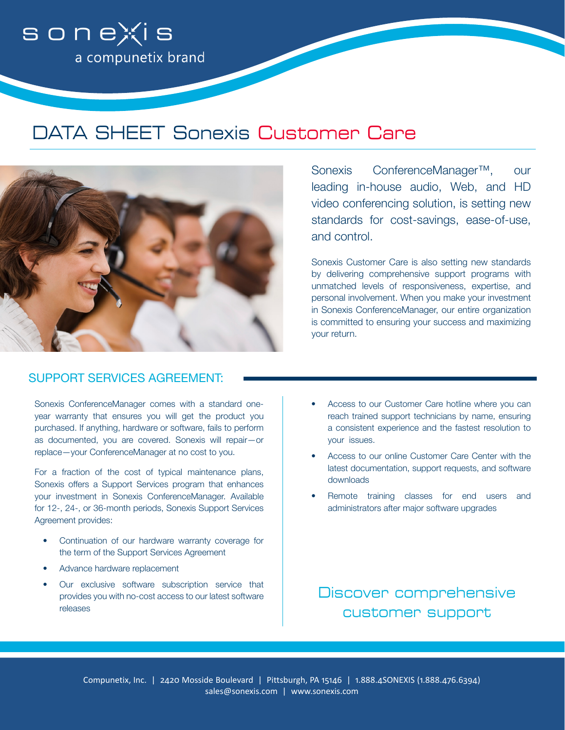

# DATA SHEET Sonexis Customer Care



Sonexis ConferenceManager™, our leading in-house audio, Web, and HD video conferencing solution, is setting new standards for cost-savings, ease-of-use, and control.

Sonexis Customer Care is also setting new standards by delivering comprehensive support programs with unmatched levels of responsiveness, expertise, and personal involvement. When you make your investment in Sonexis ConferenceManager, our entire organization is committed to ensuring your success and maximizing your return.

## SUPPORT SERVICES AGREEMENT:

Sonexis ConferenceManager comes with a standard oneyear warranty that ensures you will get the product you purchased. If anything, hardware or software, fails to perform as documented, you are covered. Sonexis will repair—or replace—your ConferenceManager at no cost to you.

For a fraction of the cost of typical maintenance plans, Sonexis offers a Support Services program that enhances your investment in Sonexis ConferenceManager. Available for 12-, 24-, or 36-month periods, Sonexis Support Services Agreement provides:

- Continuation of our hardware warranty coverage for the term of the Support Services Agreement
- Advance hardware replacement
- Our exclusive software subscription service that provides you with no-cost access to our latest software releases
- Access to our Customer Care hotline where you can reach trained support technicians by name, ensuring a consistent experience and the fastest resolution to your issues.
- Access to our online Customer Care Center with the latest documentation, support requests, and software downloads
- Remote training classes for end users and administrators after major software upgrades

Discover comprehensive customer support